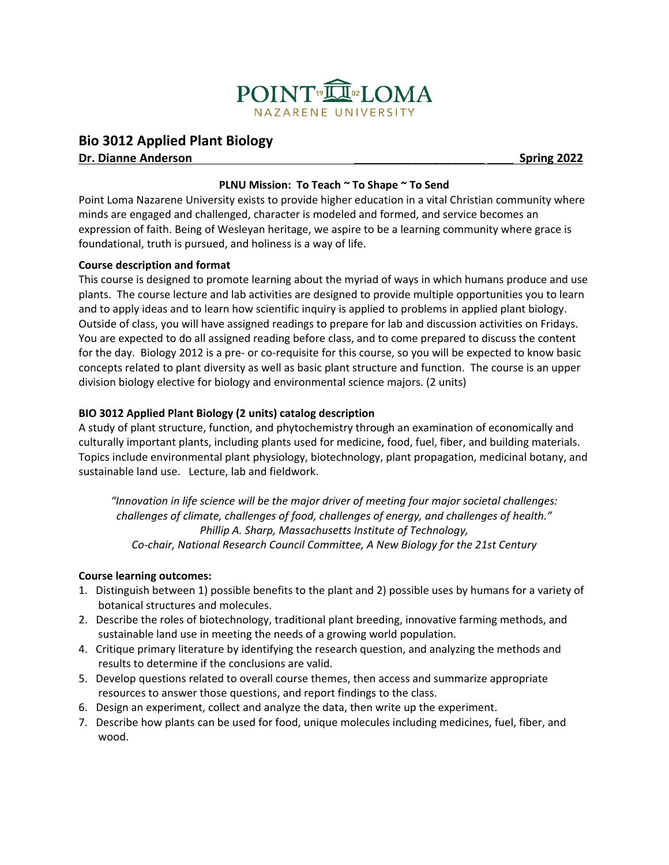

# **Bio 3012 Applied Plant Biology**

**Dr. Dianne Anderson \_\_\_\_\_\_\_\_\_\_\_\_\_\_\_\_\_\_\_\_ \_\_\_\_ Spring 2022**

## **PLNU Mission: To Teach ~ To Shape ~ To Send**

Point Loma Nazarene University exists to provide higher education in a vital Christian community where minds are engaged and challenged, character is modeled and formed, and service becomes an expression of faith. Being of Wesleyan heritage, we aspire to be a learning community where grace is foundational, truth is pursued, and holiness is a way of life.

## **Course description and format**

This course is designed to promote learning about the myriad of ways in which humans produce and use plants. The course lecture and lab activities are designed to provide multiple opportunities you to learn and to apply ideas and to learn how scientific inquiry is applied to problems in applied plant biology. Outside of class, you will have assigned readings to prepare for lab and discussion activities on Fridays. You are expected to do all assigned reading before class, and to come prepared to discuss the content for the day. Biology 2012 is a pre- or co-requisite for this course, so you will be expected to know basic concepts related to plant diversity as well as basic plant structure and function. The course is an upper division biology elective for biology and environmental science majors. (2 units)

## **BIO 3012 Applied Plant Biology (2 units) catalog description**

A study of plant structure, function, and phytochemistry through an examination of economically and culturally important plants, including plants used for medicine, food, fuel, fiber, and building materials. Topics include environmental plant physiology, biotechnology, plant propagation, medicinal botany, and sustainable land use. Lecture, lab and fieldwork.

*"Innovation in life science will be the major driver of meeting four major societal challenges: challenges of climate, challenges of food, challenges of energy, and challenges of health." Phillip A. Sharp, Massachusetts Institute of Technology, Co-chair, National Research Council Committee, A New Biology for the 21st Century*

#### **Course learning outcomes:**

- 1. Distinguish between 1) possible benefits to the plant and 2) possible uses by humans for a variety of botanical structures and molecules.
- 2. Describe the roles of biotechnology, traditional plant breeding, innovative farming methods, and sustainable land use in meeting the needs of a growing world population.
- 4. Critique primary literature by identifying the research question, and analyzing the methods and results to determine if the conclusions are valid.
- 5. Develop questions related to overall course themes, then access and summarize appropriate resources to answer those questions, and report findings to the class.
- 6. Design an experiment, collect and analyze the data, then write up the experiment.
- 7. Describe how plants can be used for food, unique molecules including medicines, fuel, fiber, and wood.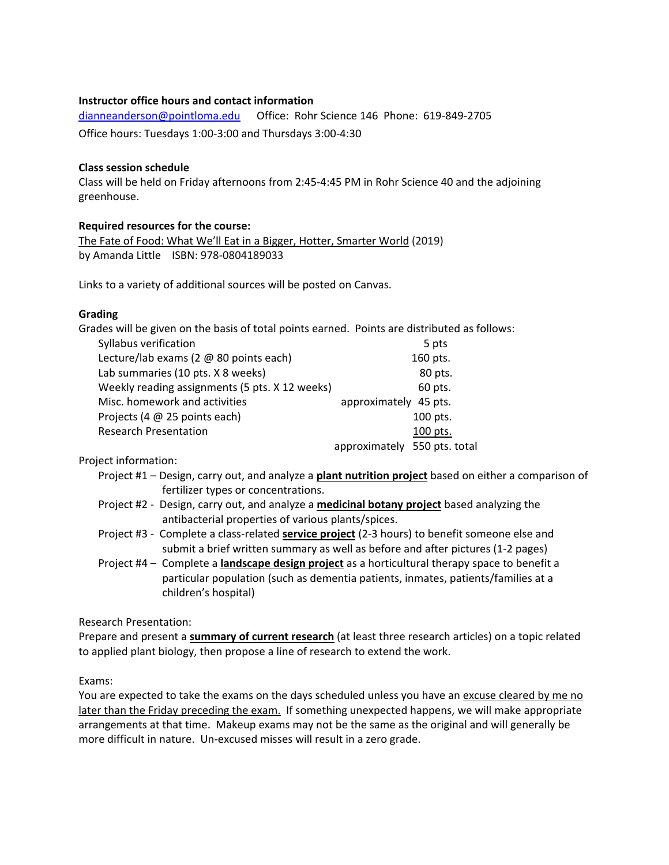#### **Instructor office hours and contact information**

[dianneanderson@pointloma.edu](mailto:dianneanderson@pointloma.edu) Office: Rohr Science 146 Phone: 619-849-2705 Office hours: Tuesdays 1:00-3:00 and Thursdays 3:00-4:30

#### **Class session schedule**

Class will be held on Friday afternoons from 2:45-4:45 PM in Rohr Science 40 and the adjoining greenhouse.

#### **Required resources for the course:**

The Fate of Food: What We'll Eat in a Bigger, Hotter, Smarter World (2019) by Amanda Little ISBN: 978-0804189033

Links to a variety of additional sources will be posted on Canvas.

#### **Grading**

| Grades will be given on the basis of total points earned. Points are distributed as follows: |                              |
|----------------------------------------------------------------------------------------------|------------------------------|
| Syllabus verification                                                                        | 5 pts                        |
| Lecture/lab exams (2 @ 80 points each)                                                       | 160 pts.                     |
| Lab summaries (10 pts. X 8 weeks)                                                            | 80 pts.                      |
| Weekly reading assignments (5 pts. X 12 weeks)                                               | 60 pts.                      |
| Misc. homework and activities                                                                | approximately 45 pts.        |
| Projects (4 @ 25 points each)                                                                | 100 pts.                     |
| <b>Research Presentation</b>                                                                 | 100 pts.                     |
|                                                                                              | approximately 550 pts. total |

Project information:

- Project #1 Design, carry out, and analyze a **plant nutrition project** based on either a comparison of fertilizer types or concentrations.
- Project #2 Design, carry out, and analyze a **medicinal botany project** based analyzing the antibacterial properties of various plants/spices.
- Project #3 Complete a class-related **service project** (2-3 hours) to benefit someone else and submit a brief written summary as well as before and after pictures (1-2 pages)
- Project #4 Complete a **landscape design project** as a horticultural therapy space to benefit a particular population (such as dementia patients, inmates, patients/families at a children's hospital)

Research Presentation:

Prepare and present a **summary of current research** (at least three research articles) on a topic related to applied plant biology, then propose a line of research to extend the work.

#### Exams:

You are expected to take the exams on the days scheduled unless you have an excuse cleared by me no later than the Friday preceding the exam. If something unexpected happens, we will make appropriate arrangements at that time. Makeup exams may not be the same as the original and will generally be more difficult in nature. Un-excused misses will result in a zero grade.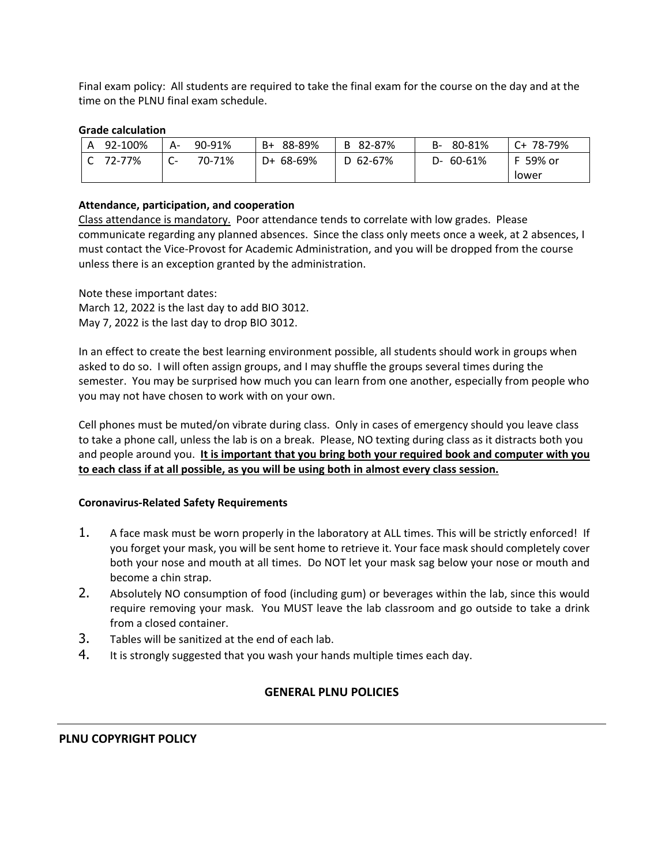Final exam policy: All students are required to take the final exam for the course on the day and at the time on the PLNU final exam schedule.

#### **Grade calculation**

| 92-100%<br>A | А-   | 90-91% | B+ 88-89% | B 82-87% | 80-81%<br>B-    | C+ 78-79% |
|--------------|------|--------|-----------|----------|-----------------|-----------|
| 72-77%       | - UT | 70-71% | D+ 68-69% | D 62-67% | $D - 60 - 61\%$ | F 59% or  |
|              |      |        |           |          |                 | Tower     |

## **Attendance, participation, and cooperation**

Class attendance is mandatory.Poor attendance tends to correlate with low grades. Please communicate regarding any planned absences. Since the class only meets once a week, at 2 absences, I must contact the Vice-Provost for Academic Administration, and you will be dropped from the course unless there is an exception granted by the administration.

Note these important dates: March 12, 2022 is the last day to add BIO 3012. May 7, 2022 is the last day to drop BIO 3012.

In an effect to create the best learning environment possible, all students should work in groups when asked to do so. I will often assign groups, and I may shuffle the groups several times during the semester. You may be surprised how much you can learn from one another, especially from people who you may not have chosen to work with on your own.

Cell phones must be muted/on vibrate during class. Only in cases of emergency should you leave class to take a phone call, unless the lab is on a break. Please, NO texting during class as it distracts both you and people around you. **It is important that you bring both your required book and computer with you to each class if at all possible, as you will be using both in almost every class session.**

#### **Coronavirus-Related Safety Requirements**

- 1. A face mask must be worn properly in the laboratory at ALL times. This will be strictly enforced! If you forget your mask, you will be sent home to retrieve it. Your face mask should completely cover both your nose and mouth at all times. Do NOT let your mask sag below your nose or mouth and become a chin strap.
- 2. Absolutely NO consumption of food (including gum) or beverages within the lab, since this would require removing your mask. You MUST leave the lab classroom and go outside to take a drink from a closed container.
- 3. Tables will be sanitized at the end of each lab.
- 4. It is strongly suggested that you wash your hands multiple times each day.

## **GENERAL PLNU POLICIES**

#### **PLNU COPYRIGHT POLICY**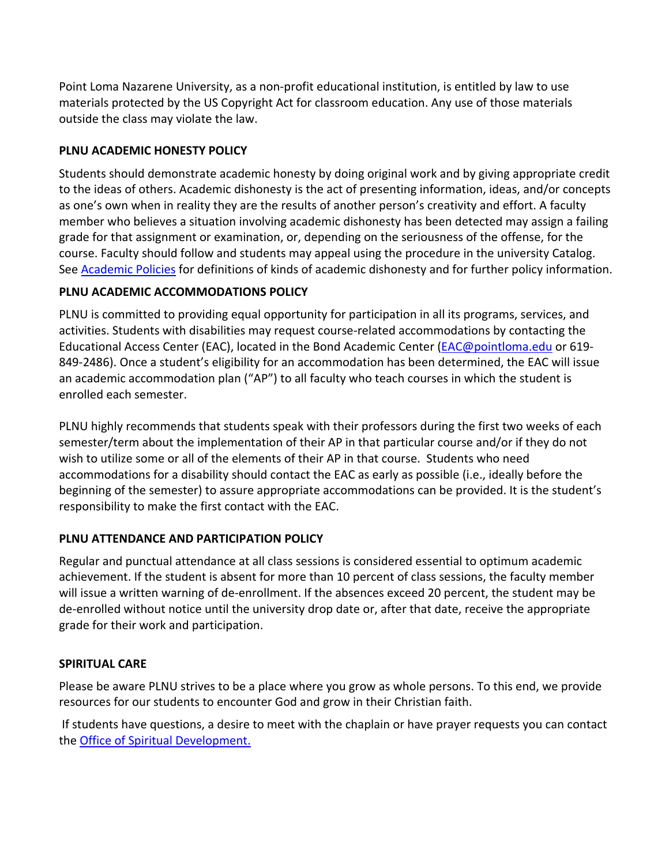Point Loma Nazarene University, as a non-profit educational institution, is entitled by law to use materials protected by the US Copyright Act for classroom education. Any use of those materials outside the class may violate the law.

# **PLNU ACADEMIC HONESTY POLICY**

Students should demonstrate academic honesty by doing original work and by giving appropriate credit to the ideas of others. Academic dishonesty is the act of presenting information, ideas, and/or concepts as one's own when in reality they are the results of another person's creativity and effort. A faculty member who believes a situation involving academic dishonesty has been detected may assign a failing grade for that assignment or examination, or, depending on the seriousness of the offense, for the course. Faculty should follow and students may appeal using the procedure in the university Catalog. See **Academic Policies** for definitions of kinds of academic dishonesty and for further policy information.

# **PLNU ACADEMIC ACCOMMODATIONS POLICY**

PLNU is committed to providing equal opportunity for participation in all its programs, services, and activities. Students with disabilities may request course-related accommodations by contacting the Educational Access Center (EAC), located in the Bond Academic Center [\(EAC@pointloma.edu](mailto:EAC@pointloma.edu) or 619- 849-2486). Once a student's eligibility for an accommodation has been determined, the EAC will issue an academic accommodation plan ("AP") to all faculty who teach courses in which the student is enrolled each semester.

PLNU highly recommends that students speak with their professors during the first two weeks of each semester/term about the implementation of their AP in that particular course and/or if they do not wish to utilize some or all of the elements of their AP in that course. Students who need accommodations for a disability should contact the EAC as early as possible (i.e., ideally before the beginning of the semester) to assure appropriate accommodations can be provided. It is the student's responsibility to make the first contact with the EAC.

## **PLNU ATTENDANCE AND PARTICIPATION POLICY**

Regular and punctual attendance at all class sessions is considered essential to optimum academic achievement. If the student is absent for more than 10 percent of class sessions, the faculty member will issue a written warning of de-enrollment. If the absences exceed 20 percent, the student may be de-enrolled without notice until the university drop date or, after that date, receive the appropriate grade for their work and participation.

## **SPIRITUAL CARE**

Please be aware PLNU strives to be a place where you grow as whole persons. To this end, we provide resources for our students to encounter God and grow in their Christian faith.

If students have questions, a desire to meet with the chaplain or have prayer requests you can contact the Office of Spiritual Development.